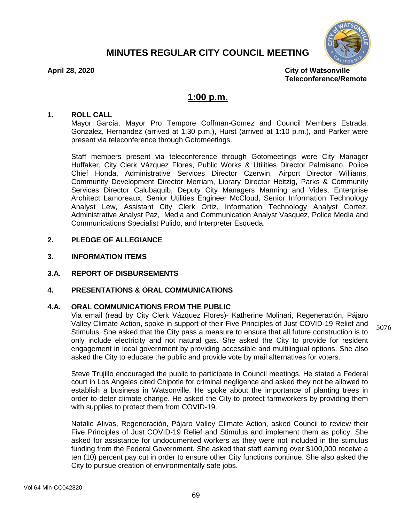# **MINUTES REGULAR CITY COUNCIL MEETING**



5076

**April 28, 2020 City of Watsonville Teleconference/Remote**

# **1:00 p.m.**

#### **1. ROLL CALL**

Mayor García, Mayor Pro Tempore Coffman-Gomez and Council Members Estrada, Gonzalez, Hernandez (arrived at 1:30 p.m.), Hurst (arrived at 1:10 p.m.), and Parker were present via teleconference through Gotomeetings.

Staff members present via teleconference through Gotomeetings were City Manager Huffaker, City Clerk Vázquez Flores, Public Works & Utilities Director Palmisano, Police Chief Honda, Administrative Services Director Czerwin, Airport Director Williams, Community Development Director Merriam, Library Director Heitzig, Parks & Community Services Director Calubaquib, Deputy City Managers Manning and Vides, Enterprise Architect Lamoreaux, Senior Utilities Engineer McCloud, Senior Information Technology Analyst Lew, Assistant City Clerk Ortiz, Information Technology Analyst Cortez, Administrative Analyst Paz, Media and Communication Analyst Vasquez, Police Media and Communications Specialist Pulido, and Interpreter Esqueda.

## **2. PLEDGE OF ALLEGIANCE**

#### **3. INFORMATION ITEMS**

#### **3.A. REPORT OF DISBURSEMENTS**

#### **4. PRESENTATIONS & ORAL COMMUNICATIONS**

#### **4.A. ORAL COMMUNICATIONS FROM THE PUBLIC**

Via email (read by City Clerk Vázquez Flores)- Katherine Molinari, Regeneración, Pájaro Valley Climate Action, spoke in support of their Five Principles of Just COVID-19 Relief and Stimulus. She asked that the City pass a measure to ensure that all future construction is to only include electricity and not natural gas. She asked the City to provide for resident engagement in local government by providing accessible and multilingual options. She also asked the City to educate the public and provide vote by mail alternatives for voters.

Steve Trujillo encouraged the public to participate in Council meetings. He stated a Federal court in Los Angeles cited Chipotle for criminal negligence and asked they not be allowed to establish a business in Watsonville. He spoke about the importance of planting trees in order to deter climate change. He asked the City to protect farmworkers by providing them with supplies to protect them from COVID-19.

Natalie Alivas, Regeneración, Pájaro Valley Climate Action, asked Council to review their Five Principles of Just COVID-19 Relief and Stimulus and implement them as policy. She asked for assistance for undocumented workers as they were not included in the stimulus funding from the Federal Government. She asked that staff earning over \$100,000 receive a ten (10) percent pay cut in order to ensure other City functions continue. She also asked the City to pursue creation of environmentally safe jobs.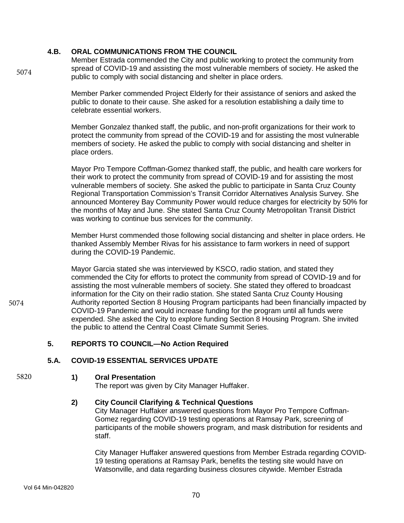# **4.B. ORAL COMMUNICATIONS FROM THE COUNCIL**

Member Estrada commended the City and public working to protect the community from spread of COVID-19 and assisting the most vulnerable members of society. He asked the public to comply with social distancing and shelter in place orders.

Member Parker commended Project Elderly for their assistance of seniors and asked the public to donate to their cause. She asked for a resolution establishing a daily time to celebrate essential workers.

Member Gonzalez thanked staff, the public, and non-profit organizations for their work to protect the community from spread of the COVID-19 and for assisting the most vulnerable members of society. He asked the public to comply with social distancing and shelter in place orders.

Mayor Pro Tempore Coffman-Gomez thanked staff, the public, and health care workers for their work to protect the community from spread of COVID-19 and for assisting the most vulnerable members of society. She asked the public to participate in Santa Cruz County Regional Transportation Commission's Transit Corridor Alternatives Analysis Survey. She announced Monterey Bay Community Power would reduce charges for electricity by 50% for the months of May and June. She stated Santa Cruz County Metropolitan Transit District was working to continue bus services for the community.

Member Hurst commended those following social distancing and shelter in place orders. He thanked Assembly Member Rivas for his assistance to farm workers in need of support during the COVID-19 Pandemic.

Mayor Garcia stated she was interviewed by KSCO, radio station, and stated they commended the City for efforts to protect the community from spread of COVID-19 and for assisting the most vulnerable members of society. She stated they offered to broadcast information for the City on their radio station. She stated Santa Cruz County Housing Authority reported Section 8 Housing Program participants had been financially impacted by COVID-19 Pandemic and would increase funding for the program until all funds were expended. She asked the City to explore funding Section 8 Housing Program. She invited the public to attend the Central Coast Climate Summit Series.

# **5. REPORTS TO COUNCIL—No Action Required**

# **5.A. COVID-19 ESSENTIAL SERVICES UPDATE**

5820

# **1) Oral Presentation**

The report was given by City Manager Huffaker.

# **2) City Council Clarifying & Technical Questions**

City Manager Huffaker answered questions from Mayor Pro Tempore Coffman-Gomez regarding COVID-19 testing operations at Ramsay Park, screening of participants of the mobile showers program, and mask distribution for residents and staff.

City Manager Huffaker answered questions from Member Estrada regarding COVID-19 testing operations at Ramsay Park, benefits the testing site would have on Watsonville, and data regarding business closures citywide. Member Estrada

5074

5074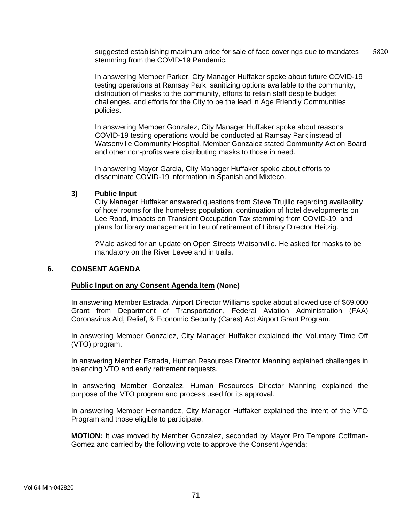suggested establishing maximum price for sale of face coverings due to mandates stemming from the COVID-19 Pandemic. 5820

In answering Member Parker, City Manager Huffaker spoke about future COVID-19 testing operations at Ramsay Park, sanitizing options available to the community, distribution of masks to the community, efforts to retain staff despite budget challenges, and efforts for the City to be the lead in Age Friendly Communities policies.

In answering Member Gonzalez, City Manager Huffaker spoke about reasons COVID-19 testing operations would be conducted at Ramsay Park instead of Watsonville Community Hospital. Member Gonzalez stated Community Action Board and other non-profits were distributing masks to those in need.

In answering Mayor Garcia, City Manager Huffaker spoke about efforts to disseminate COVID-19 information in Spanish and Mixteco.

# **3) Public Input**

City Manager Huffaker answered questions from Steve Trujillo regarding availability of hotel rooms for the homeless population, continuation of hotel developments on Lee Road, impacts on Transient Occupation Tax stemming from COVID-19, and plans for library management in lieu of retirement of Library Director Heitzig.

?Male asked for an update on Open Streets Watsonville. He asked for masks to be mandatory on the River Levee and in trails.

#### **6. CONSENT AGENDA**

#### **Public Input on any Consent Agenda Item (None)**

In answering Member Estrada, Airport Director Williams spoke about allowed use of \$69,000 Grant from Department of Transportation, Federal Aviation Administration (FAA) Coronavirus Aid, Relief, & Economic Security (Cares) Act Airport Grant Program.

In answering Member Gonzalez, City Manager Huffaker explained the Voluntary Time Off (VTO) program.

In answering Member Estrada, Human Resources Director Manning explained challenges in balancing VTO and early retirement requests.

In answering Member Gonzalez, Human Resources Director Manning explained the purpose of the VTO program and process used for its approval.

In answering Member Hernandez, City Manager Huffaker explained the intent of the VTO Program and those eligible to participate.

**MOTION:** It was moved by Member Gonzalez, seconded by Mayor Pro Tempore Coffman-Gomez and carried by the following vote to approve the Consent Agenda: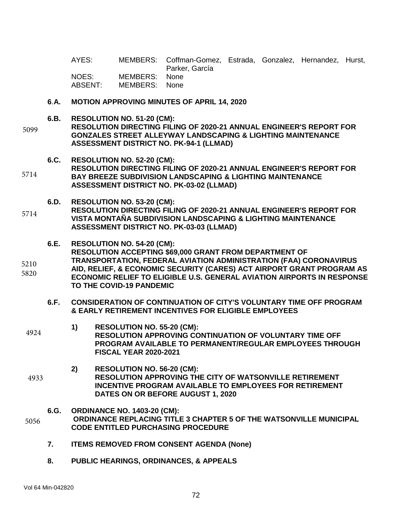AYES: MEMBERS: Coffman-Gomez, Estrada, Gonzalez, Hernandez, Hurst, Parker, García<br>None NOES: MEMBERS: ABSENT: MEMBERS: None

- **6**.**A. MOTION APPROVING MINUTES OF APRIL 14, 2020**
- **6.B. RESOLUTION NO. 51-20 (CM):**

**RESOLUTION DIRECTING FILING OF 2020-21 ANNUAL ENGINEER'S REPORT FOR GONZALES STREET ALLEYWAY LANDSCAPING & LIGHTING MAINTENANCE ASSESSMENT DISTRICT NO. PK-94-1 (LLMAD)** 5099

- **6.C. RESOLUTION NO. 52-20 (CM): RESOLUTION DIRECTING FILING OF 2020-21 ANNUAL ENGINEER'S REPORT FOR BAY BREEZE SUBDIVISION LANDSCAPING & LIGHTING MAINTENANCE ASSESSMENT DISTRICT NO. PK-03-02 (LLMAD)** 5714
	- **6.D. RESOLUTION NO. 53-20 (CM):**
- **RESOLUTION DIRECTING FILING OF 2020-21 ANNUAL ENGINEER'S REPORT FOR VISTA MONTAÑA SUBDIVISION LANDSCAPING & LIGHTING MAINTENANCE ASSESSMENT DISTRICT NO. PK-03-03 (LLMAD)** 5714
- **6.E. RESOLUTION NO. 54-20 (CM): RESOLUTION ACCEPTING \$69,000 GRANT FROM DEPARTMENT OF TRANSPORTATION, FEDERAL AVIATION ADMINISTRATION (FAA) CORONAVIRUS**  5210
- **AID, RELIEF, & ECONOMIC SECURITY (CARES) ACT AIRPORT GRANT PROGRAM AS ECONOMIC RELIEF TO ELIGIBLE U.S. GENERAL AVIATION AIRPORTS IN RESPONSE TO THE COVID-19 PANDEMIC** 5820
	- **6.F. CONSIDERATION OF CONTINUATION OF CITY'S VOLUNTARY TIME OFF PROGRAM & EARLY RETIREMENT INCENTIVES FOR ELIGIBLE EMPLOYEES**
- **1) RESOLUTION NO. 55-20 (CM): RESOLUTION APPROVING CONTINUATION OF VOLUNTARY TIME OFF PROGRAM AVAILABLE TO PERMANENT/REGULAR EMPLOYEES THROUGH FISCAL YEAR 2020-2021** 4924
- **2) RESOLUTION NO. 56-20 (CM): RESOLUTION APPROVING THE CITY OF WATSONVILLE RETIREMENT INCENTIVE PROGRAM AVAILABLE TO EMPLOYEES FOR RETIREMENT DATES ON OR BEFORE AUGUST 1, 2020** 4933
	- **6.G. ORDINANCE NO. 1403-20 (CM):**
- **ORDINANCE REPLACING TITLE 3 CHAPTER 5 OF THE WATSONVILLE MUNICIPAL CODE ENTITLED PURCHASING PROCEDURE** 5056
	- **7. ITEMS REMOVED FROM CONSENT AGENDA (None)**
	- **8. PUBLIC HEARINGS, ORDINANCES, & APPEALS**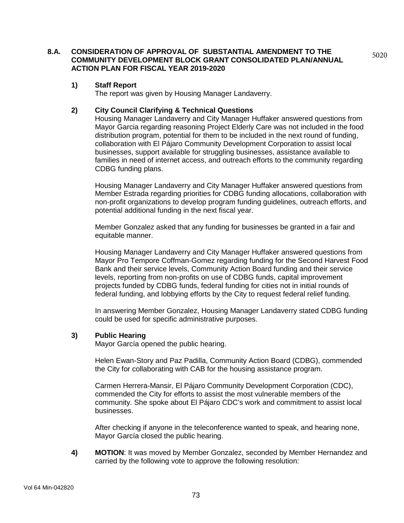**8.A. CONSIDERATION OF APPROVAL OF SUBSTANTIAL AMENDMENT TO THE COMMUNITY DEVELOPMENT BLOCK GRANT CONSOLIDATED PLAN/ANNUAL ACTION PLAN FOR FISCAL YEAR 2019-2020**

# **1) Staff Report**

The report was given by Housing Manager Landaverry.

#### **2) City Council Clarifying & Technical Questions**

Housing Manager Landaverry and City Manager Huffaker answered questions from Mayor Garcia regarding reasoning Project Elderly Care was not included in the food distribution program, potential for them to be included in the next round of funding, collaboration with El Pájaro Community Development Corporation to assist local businesses, support available for struggling businesses, assistance available to families in need of internet access, and outreach efforts to the community regarding CDBG funding plans.

5020

Housing Manager Landaverry and City Manager Huffaker answered questions from Member Estrada regarding priorities for CDBG funding allocations, collaboration with non-profit organizations to develop program funding guidelines, outreach efforts, and potential additional funding in the next fiscal year.

Member Gonzalez asked that any funding for businesses be granted in a fair and equitable manner.

Housing Manager Landaverry and City Manager Huffaker answered questions from Mayor Pro Tempore Coffman-Gomez regarding funding for the Second Harvest Food Bank and their service levels, Community Action Board funding and their service levels, reporting from non-profits on use of CDBG funds, capital improvement projects funded by CDBG funds, federal funding for cities not in initial rounds of federal funding, and lobbying efforts by the City to request federal relief funding.

In answering Member Gonzalez, Housing Manager Landaverry stated CDBG funding could be used for specific administrative purposes.

#### **3) Public Hearing**

Mayor García opened the public hearing.

Helen Ewan-Story and Paz Padilla, Community Action Board (CDBG), commended the City for collaborating with CAB for the housing assistance program.

Carmen Herrera-Mansir, El Pájaro Community Development Corporation (CDC), commended the City for efforts to assist the most vulnerable members of the community. She spoke about El Pájaro CDC's work and commitment to assist local businesses.

After checking if anyone in the teleconference wanted to speak, and hearing none, Mayor García closed the public hearing.

**4) MOTION**: It was moved by Member Gonzalez, seconded by Member Hernandez and carried by the following vote to approve the following resolution: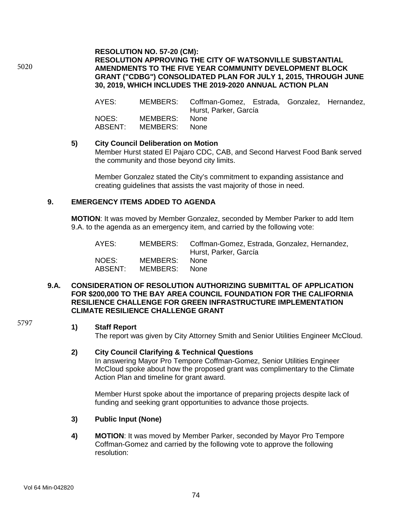# **RESOLUTION NO. 57-20 (CM): RESOLUTION APPROVING THE CITY OF WATSONVILLE SUBSTANTIAL AMENDMENTS TO THE FIVE YEAR COMMUNITY DEVELOPMENT BLOCK GRANT ("CDBG") CONSOLIDATED PLAN FOR JULY 1, 2015, THROUGH JUNE 30, 2019, WHICH INCLUDES THE 2019-2020 ANNUAL ACTION PLAN**

AYES: MEMBERS: Coffman-Gomez, Estrada, Gonzalez, Hernandez, Hurst, Parker, García NOES: MEMBERS: None<br>ABSENT: MEMBERS: None MEMBERS:

#### **5) City Council Deliberation on Motion**

Member Hurst stated El Pajaro CDC, CAB, and Second Harvest Food Bank served the community and those beyond city limits.

Member Gonzalez stated the City's commitment to expanding assistance and creating guidelines that assists the vast majority of those in need.

# **9. EMERGENCY ITEMS ADDED TO AGENDA**

**MOTION**: It was moved by Member Gonzalez, seconded by Member Parker to add Item 9.A. to the agenda as an emergency item, and carried by the following vote:

| AYES:   |          | MEMBERS: Coffman-Gomez, Estrada, Gonzalez, Hernandez,<br>Hurst, Parker, García |
|---------|----------|--------------------------------------------------------------------------------|
| NOES:   | MEMBERS: | None.                                                                          |
| ABSENT: | MEMBERS: | None.                                                                          |

#### **9.A. CONSIDERATION OF RESOLUTION AUTHORIZING SUBMITTAL OF APPLICATION FOR \$200,000 TO THE BAY AREA COUNCIL FOUNDATION FOR THE CALIFORNIA RESILIENCE CHALLENGE FOR GREEN INFRASTRUCTURE IMPLEMENTATION CLIMATE RESILIENCE CHALLENGE GRANT**

5797

5020

#### **1) Staff Report**

The report was given by City Attorney Smith and Senior Utilities Engineer McCloud.

#### **2) City Council Clarifying & Technical Questions**

In answering Mayor Pro Tempore Coffman-Gomez, Senior Utilities Engineer McCloud spoke about how the proposed grant was complimentary to the Climate Action Plan and timeline for grant award.

Member Hurst spoke about the importance of preparing projects despite lack of funding and seeking grant opportunities to advance those projects.

# **3) Public Input (None)**

**4) MOTION**: It was moved by Member Parker, seconded by Mayor Pro Tempore Coffman-Gomez and carried by the following vote to approve the following resolution: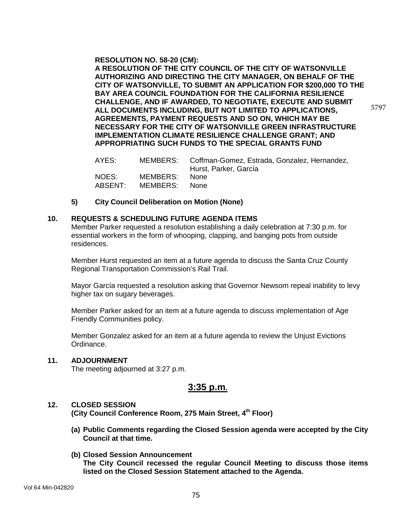**RESOLUTION NO. 58-20 (CM):**

**A RESOLUTION OF THE CITY COUNCIL OF THE CITY OF WATSONVILLE AUTHORIZING AND DIRECTING THE CITY MANAGER, ON BEHALF OF THE CITY OF WATSONVILLE, TO SUBMIT AN APPLICATION FOR \$200,000 TO THE BAY AREA COUNCIL FOUNDATION FOR THE CALIFORNIA RESILIENCE CHALLENGE, AND IF AWARDED, TO NEGOTIATE, EXECUTE AND SUBMIT ALL DOCUMENTS INCLUDING, BUT NOT LIMITED TO APPLICATIONS, AGREEMENTS, PAYMENT REQUESTS AND SO ON, WHICH MAY BE NECESSARY FOR THE CITY OF WATSONVILLE GREEN INFRASTRUCTURE IMPLEMENTATION CLIMATE RESILIENCE CHALLENGE GRANT; AND APPROPRIATING SUCH FUNDS TO THE SPECIAL GRANTS FUND**

5797

| AYES:            |                           | MEMBERS: Coffman-Gomez, Estrada, Gonzalez, Hernandez,<br>Hurst, Parker, García |
|------------------|---------------------------|--------------------------------------------------------------------------------|
| NOES:<br>ABSENT: | MEMBERS:<br>MEMBERS: None | – None                                                                         |

#### **5) City Council Deliberation on Motion (None)**

#### **10. REQUESTS & SCHEDULING FUTURE AGENDA ITEMS**

Member Parker requested a resolution establishing a daily celebration at 7:30 p.m. for essential workers in the form of whooping, clapping, and banging pots from outside residences.

Member Hurst requested an item at a future agenda to discuss the Santa Cruz County Regional Transportation Commission's Rail Trail.

Mayor García requested a resolution asking that Governor Newsom repeal inability to levy higher tax on sugary beverages.

Member Parker asked for an item at a future agenda to discuss implementation of Age Friendly Communities policy.

Member Gonzalez asked for an item at a future agenda to review the Unjust Evictions Ordinance.

#### **11. ADJOURNMENT**

The meeting adjourned at 3:27 p.m.

# **3:35 p.m.**

#### **12. CLOSED SESSION**

**(City Council Conference Room, 275 Main Street, 4th Floor)**

- **(a) Public Comments regarding the Closed Session agenda were accepted by the City Council at that time.**
- **(b) Closed Session Announcement The City Council recessed the regular Council Meeting to discuss those items listed on the Closed Session Statement attached to the Agenda.**